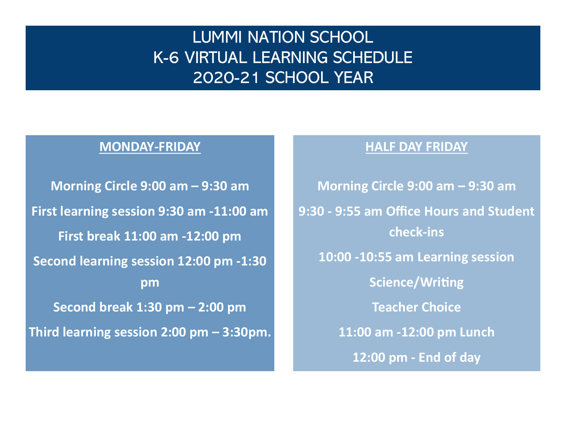# LUMMI NATION SCHOOL K-6 VIRTUAL LEARNING SCHEDULE 2020-21 SCHOOL YEAR

# **MONDAY-FRIDAY**

**Morning Circle 9:00 am – 9:30 am First learning session 9:30 am -11:00 am First break 11:00 am -12:00 pm Second learning session 12:00 pm -1:30 pm Second break 1:30 pm – 2:00 pm Third learning session 2:00 pm – 3:30pm.**

## **HALF DAY FRIDAY**

**Morning Circle 9:00 am – 9:30 am 9:30 - 9:55 am Office Hours and Student check-ins 10:00 -10:55 am Learning session Science/Writing Teacher Choice 11:00 am -12:00 pm Lunch 12:00 pm - End of day**